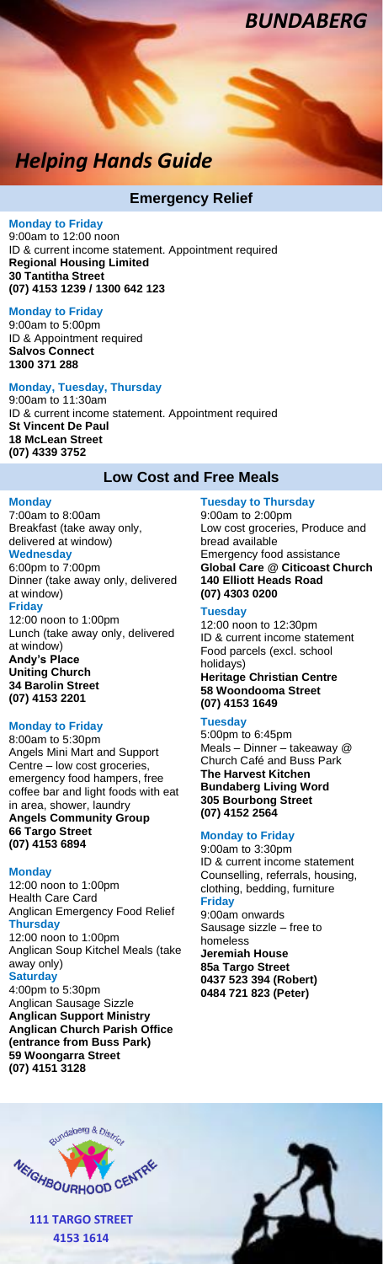*Helping Hands Guide*

## **Emergency Relief**

**Monday to Friday** 9:00am to 12:00 noon ID & current income statement. Appointment required **Regional Housing Limited 30 Tantitha Street (07) 4153 1239 / 1300 642 123**

**Monday to Friday** 9:00am to 5:00pm ID & Appointment required **Salvos Connect 1300 371 288**

#### **Monday, Tuesday, Thursday** 9:00am to 11:30am

ID & current income statement. Appointment required **St Vincent De Paul 18 McLean Street (07) 4339 3752**

# **Low Cost and Free Meals**

## **Monday**

7:00am to 8:00am Breakfast (take away only, delivered at window) **Wednesday**  6:00pm to 7:00pm Dinner (take away only, delivered at window) **Friday** 12:00 noon to 1:00pm Lunch (take away only, delivered at window) **Andy's Place Uniting Church**

**34 Barolin Street (07) 4153 2201**

### **Monday to Friday**

8:00am to 5:30pm Angels Mini Mart and Support Centre – low cost groceries, emergency food hampers, free coffee bar and light foods with eat in area, shower, laundry **Angels Community Group 66 Targo Street (07) 4153 6894**

## **Monday**

12:00 noon to 1:00pm Health Care Card Anglican Emergency Food Relief **Thursday**  12:00 noon to 1:00pm Anglican Soup Kitchel Meals (take away only) **Saturday** 4:00pm to 5:30pm Anglican Sausage Sizzle **Anglican Support Ministry Anglican Church Parish Office (entrance from Buss Park) 59 Woongarra Street (07) 4151 3128**

#### **Tuesday to Thursday** 9:00am to 2:00pm Low cost groceries, Produce and bread available Emergency food assistance **Global Care @ Citicoast Church 140 Elliott Heads Road**

*BUNDABERG*

# **(07) 4303 0200**

**Tuesday** 12:00 noon to 12:30pm ID & current income statement Food parcels (excl. school holidays) **Heritage Christian Centre**

**58 Woondooma Street (07) 4153 1649**

## **Tuesday**

5:00pm to 6:45pm Meals – Dinner – takeaway @ Church Café and Buss Park **The Harvest Kitchen Bundaberg Living Word 305 Bourbong Street (07) 4152 2564**

#### **Monday to Friday**

9:00am to 3:30pm ID & current income statement Counselling, referrals, housing, clothing, bedding, furniture **Friday** 9:00am onwards Sausage sizzle – free to homeless **Jeremiah House 85a Targo Street 0437 523 394 (Robert) 0484 721 823 (Peter)**

L



**111 TARGO STREET 4153 1614**